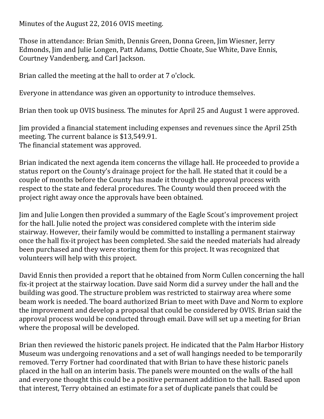Minutes of the August 22, 2016 OVIS meeting.

Those in attendance: Brian Smith, Dennis Green, Donna Green, Jim Wiesner, Jerry Edmonds, Jim and Julie Longen, Patt Adams, Dottie Choate, Sue White, Dave Ennis, Courtney Vandenberg, and Carl Jackson.

Brian called the meeting at the hall to order at 7 o'clock.

Everyone in attendance was given an opportunity to introduce themselves.

Brian then took up OVIS business. The minutes for April 25 and August 1 were approved.

Jim provided a financial statement including expenses and revenues since the April 25th meeting. The current balance is \$13,549.91. The financial statement was approved.

Brian indicated the next agenda item concerns the village hall. He proceeded to provide a status report on the County's drainage project for the hall. He stated that it could be a couple of months before the County has made it through the approval process with respect to the state and federal procedures. The County would then proceed with the project right away once the approvals have been obtained.

Jim and Julie Longen then provided a summary of the Eagle Scout's improvement project for the hall. Julie noted the project was considered complete with the interim side stairway. However, their family would be committed to installing a permanent stairway once the hall fix-it project has been completed. She said the needed materials had already been purchased and they were storing them for this project. It was recognized that volunteers will help with this project.

David Ennis then provided a report that he obtained from Norm Cullen concerning the hall fix-it project at the stairway location. Dave said Norm did a survey under the hall and the building was good. The structure problem was restricted to stairway area where some beam work is needed. The board authorized Brian to meet with Dave and Norm to explore the improvement and develop a proposal that could be considered by OVIS. Brian said the approval process would be conducted through email. Dave will set up a meeting for Brian where the proposal will be developed.

Brian then reviewed the historic panels project. He indicated that the Palm Harbor History Museum was undergoing renovations and a set of wall hangings needed to be temporarily removed. Terry Fortner had coordinated that with Brian to have these historic panels placed in the hall on an interim basis. The panels were mounted on the walls of the hall and everyone thought this could be a positive permanent addition to the hall. Based upon that interest, Terry obtained an estimate for a set of duplicate panels that could be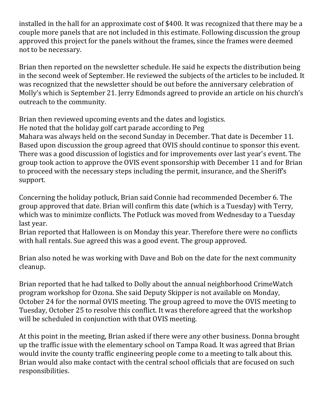installed in the hall for an approximate cost of \$400. It was recognized that there may be a couple more panels that are not included in this estimate. Following discussion the group approved this project for the panels without the frames, since the frames were deemed not to be necessary.

Brian then reported on the newsletter schedule. He said he expects the distribution being in the second week of September. He reviewed the subjects of the articles to be included. It was recognized that the newsletter should be out before the anniversary celebration of Molly's which is September 21. Jerry Edmonds agreed to provide an article on his church's outreach to the community.

Brian then reviewed upcoming events and the dates and logistics.

He noted that the holiday golf cart parade according to Peg

Mahara was always held on the second Sunday in December. That date is December 11. Based upon discussion the group agreed that OVIS should continue to sponsor this event. There was a good discussion of logistics and for improvements over last year's event. The group took action to approve the OVIS event sponsorship with December 11 and for Brian to proceed with the necessary steps including the permit, insurance, and the Sheriff's support. 

Concerning the holiday potluck, Brian said Connie had recommended December 6. The group approved that date. Brian will confirm this date (which is a Tuesday) with Terry, which was to minimize conflicts. The Potluck was moved from Wednesday to a Tuesday last year.

Brian reported that Halloween is on Monday this year. Therefore there were no conflicts with hall rentals. Sue agreed this was a good event. The group approved.

Brian also noted he was working with Dave and Bob on the date for the next community cleanup. 

Brian reported that he had talked to Dolly about the annual neighborhood CrimeWatch program workshop for Ozona. She said Deputy Skipper is not available on Monday, October 24 for the normal OVIS meeting. The group agreed to move the OVIS meeting to Tuesday, October 25 to resolve this conflict. It was therefore agreed that the workshop will be scheduled in conjunction with that OVIS meeting.

At this point in the meeting, Brian asked if there were any other business. Donna brought up the traffic issue with the elementary school on Tampa Road. It was agreed that Brian would invite the county traffic engineering people come to a meeting to talk about this. Brian would also make contact with the central school officials that are focused on such responsibilities.